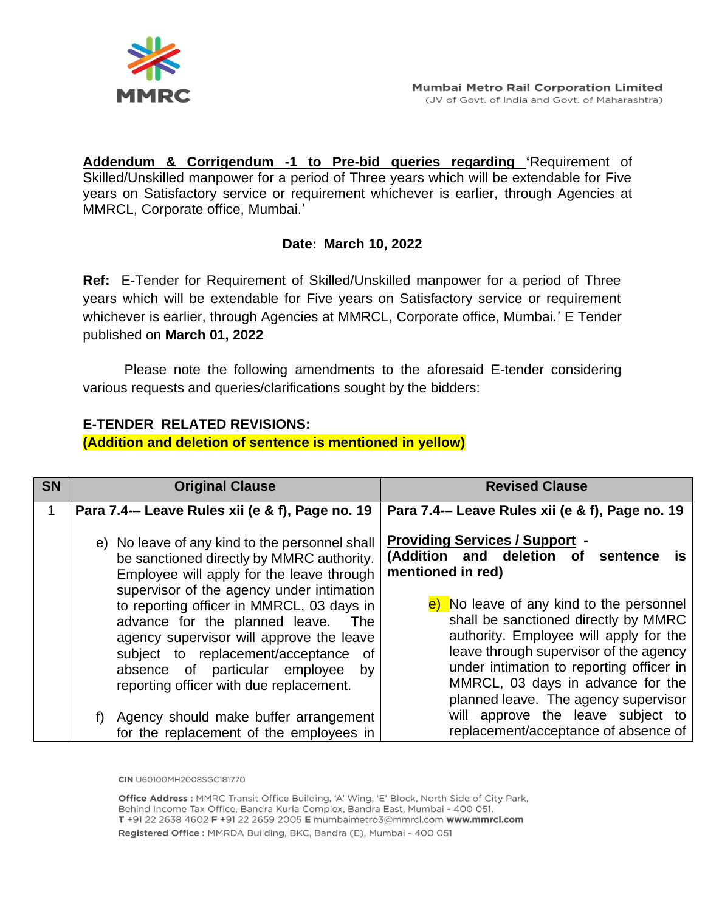

**Addendum & Corrigendum -1 to Pre-bid queries regarding '**Requirement of Skilled/Unskilled manpower for a period of Three years which will be extendable for Five years on Satisfactory service or requirement whichever is earlier, through Agencies at MMRCL, Corporate office, Mumbai.'

## **Date: March 10, 2022**

**Ref:** E-Tender for Requirement of Skilled/Unskilled manpower for a period of Three years which will be extendable for Five years on Satisfactory service or requirement whichever is earlier, through Agencies at MMRCL, Corporate office, Mumbai.' E Tender published on **March 01, 2022**

Please note the following amendments to the aforesaid E-tender considering various requests and queries/clarifications sought by the bidders:

## **E-TENDER RELATED REVISIONS:**

## **(Addition and deletion of sentence is mentioned in yellow)**

| <b>SN</b> | <b>Original Clause</b>                                                                                                                                                                                                                                         | <b>Revised Clause</b>                                                                                                                                                                                                                                                                         |  |  |  |  |
|-----------|----------------------------------------------------------------------------------------------------------------------------------------------------------------------------------------------------------------------------------------------------------------|-----------------------------------------------------------------------------------------------------------------------------------------------------------------------------------------------------------------------------------------------------------------------------------------------|--|--|--|--|
| 1         | Para 7.4- Leave Rules xii (e & f), Page no. 19                                                                                                                                                                                                                 | Para 7.4— Leave Rules xii (e & f), Page no. 19                                                                                                                                                                                                                                                |  |  |  |  |
|           | e) No leave of any kind to the personnel shall<br>be sanctioned directly by MMRC authority.<br>Employee will apply for the leave through<br>supervisor of the agency under intimation                                                                          | <b>Providing Services / Support -</b><br>(Addition and deletion of<br>sentence<br>is<br>mentioned in red)                                                                                                                                                                                     |  |  |  |  |
|           | to reporting officer in MMRCL, 03 days in<br>advance for the planned leave.<br>The<br>agency supervisor will approve the leave<br>subject to replacement/acceptance<br>of .<br>absence of particular employee<br>by<br>reporting officer with due replacement. | e) No leave of any kind to the personnel<br>shall be sanctioned directly by MMRC<br>authority. Employee will apply for the<br>leave through supervisor of the agency<br>under intimation to reporting officer in<br>MMRCL, 03 days in advance for the<br>planned leave. The agency supervisor |  |  |  |  |
|           | f) Agency should make buffer arrangement<br>for the replacement of the employees in                                                                                                                                                                            | will approve the leave subject to<br>replacement/acceptance of absence of                                                                                                                                                                                                                     |  |  |  |  |

CIN U60100MH2008SGC181770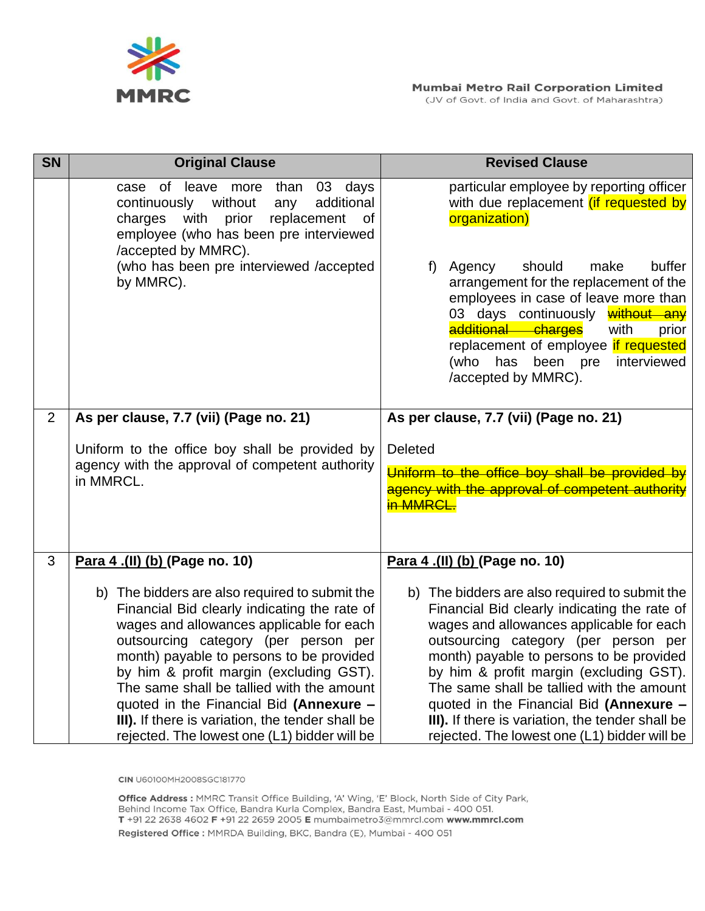

| <b>SN</b>      | <b>Original Clause</b>                                                                                                                                                                                                                                                                                                                                                                                                                                                | <b>Revised Clause</b>                                                                                                                                                                                                                                                                                                                                                                                                                                                 |  |  |  |  |
|----------------|-----------------------------------------------------------------------------------------------------------------------------------------------------------------------------------------------------------------------------------------------------------------------------------------------------------------------------------------------------------------------------------------------------------------------------------------------------------------------|-----------------------------------------------------------------------------------------------------------------------------------------------------------------------------------------------------------------------------------------------------------------------------------------------------------------------------------------------------------------------------------------------------------------------------------------------------------------------|--|--|--|--|
|                | of leave more than<br>03 days<br>case<br>without<br>additional<br>continuously<br>any<br>charges<br>with<br>prior<br>replacement<br>0f<br>employee (who has been pre interviewed<br>/accepted by MMRC).                                                                                                                                                                                                                                                               | particular employee by reporting officer<br>with due replacement <i>(if requested by</i><br>organization)                                                                                                                                                                                                                                                                                                                                                             |  |  |  |  |
|                | (who has been pre interviewed /accepted<br>by MMRC).                                                                                                                                                                                                                                                                                                                                                                                                                  | buffer<br>Agency<br>should<br>make<br>f)<br>arrangement for the replacement of the<br>employees in case of leave more than<br>03 days continuously without any<br>additional charges<br>with<br>prior<br>replacement of employee if requested<br>(who has<br>been pre<br>interviewed<br>/accepted by MMRC).                                                                                                                                                           |  |  |  |  |
| $\overline{2}$ | As per clause, 7.7 (vii) (Page no. 21)                                                                                                                                                                                                                                                                                                                                                                                                                                | As per clause, 7.7 (vii) (Page no. 21)                                                                                                                                                                                                                                                                                                                                                                                                                                |  |  |  |  |
|                | Uniform to the office boy shall be provided by<br>agency with the approval of competent authority<br>in MMRCL.                                                                                                                                                                                                                                                                                                                                                        | <b>Deleted</b><br>Uniform to the office boy shall be provided by<br>agency with the approval of competent authority<br><b>in MMRCL.</b>                                                                                                                                                                                                                                                                                                                               |  |  |  |  |
| 3              | Para 4 .(II) (b) (Page no. 10)                                                                                                                                                                                                                                                                                                                                                                                                                                        | Para 4 .(II) (b) (Page no. 10)                                                                                                                                                                                                                                                                                                                                                                                                                                        |  |  |  |  |
|                | b) The bidders are also required to submit the<br>Financial Bid clearly indicating the rate of<br>wages and allowances applicable for each<br>outsourcing category (per person per<br>month) payable to persons to be provided<br>by him & profit margin (excluding GST).<br>The same shall be tallied with the amount<br>quoted in the Financial Bid (Annexure -<br>III). If there is variation, the tender shall be<br>rejected. The lowest one (L1) bidder will be | b) The bidders are also required to submit the<br>Financial Bid clearly indicating the rate of<br>wages and allowances applicable for each<br>outsourcing category (per person per<br>month) payable to persons to be provided<br>by him & profit margin (excluding GST).<br>The same shall be tallied with the amount<br>quoted in the Financial Bid (Annexure -<br>III). If there is variation, the tender shall be<br>rejected. The lowest one (L1) bidder will be |  |  |  |  |

**CIN** U60100MH2008SGC181770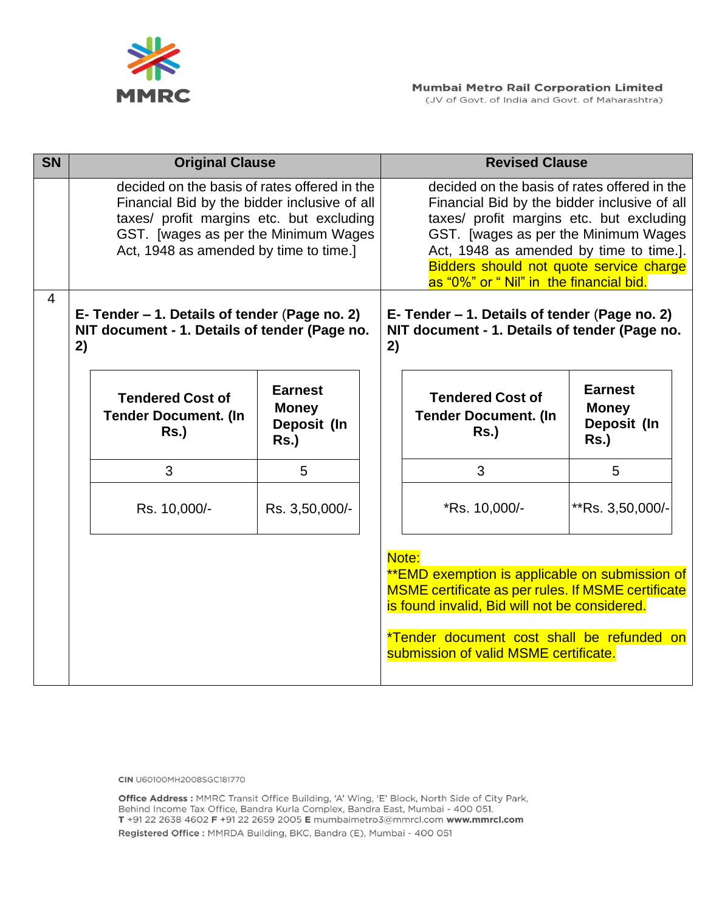

| <b>SN</b>      | <b>Original Clause</b>                                                                                                                                                                                                      |                                                              |  | <b>Revised Clause</b>                                                                                                                                                                                                                                                                                             |                                                          |  |  |  |
|----------------|-----------------------------------------------------------------------------------------------------------------------------------------------------------------------------------------------------------------------------|--------------------------------------------------------------|--|-------------------------------------------------------------------------------------------------------------------------------------------------------------------------------------------------------------------------------------------------------------------------------------------------------------------|----------------------------------------------------------|--|--|--|
|                | decided on the basis of rates offered in the<br>Financial Bid by the bidder inclusive of all<br>taxes/ profit margins etc. but excluding<br>GST. [wages as per the Minimum Wages]<br>Act, 1948 as amended by time to time.] |                                                              |  | decided on the basis of rates offered in the<br>Financial Bid by the bidder inclusive of all<br>taxes/ profit margins etc. but excluding<br>GST. [wages as per the Minimum Wages<br>Act, 1948 as amended by time to time.].<br>Bidders should not quote service charge<br>as "0%" or " Nil" in the financial bid. |                                                          |  |  |  |
| $\overline{4}$ | E- Tender – 1. Details of tender (Page no. 2)<br>NIT document - 1. Details of tender (Page no.<br>2)                                                                                                                        |                                                              |  | E- Tender – 1. Details of tender (Page no. 2)<br>NIT document - 1. Details of tender (Page no.<br>2)                                                                                                                                                                                                              |                                                          |  |  |  |
|                | <b>Tendered Cost of</b><br><b>Tender Document. (In</b><br><b>Rs.)</b>                                                                                                                                                       | <b>Earnest</b><br><b>Money</b><br>Deposit (In<br><b>Rs.)</b> |  | <b>Tendered Cost of</b><br><b>Tender Document. (In</b><br>$Rs.$ )                                                                                                                                                                                                                                                 | <b>Earnest</b><br><b>Money</b><br>Deposit (In<br>$Rs.$ ) |  |  |  |
|                | 3                                                                                                                                                                                                                           | 5                                                            |  | 3                                                                                                                                                                                                                                                                                                                 | 5                                                        |  |  |  |
|                | Rs. 10,000/-                                                                                                                                                                                                                | Rs. 3,50,000/-                                               |  | *Rs. 10,000/-                                                                                                                                                                                                                                                                                                     | **Rs. 3,50,000/-                                         |  |  |  |
|                |                                                                                                                                                                                                                             |                                                              |  | Note:<br>**EMD exemption is applicable on submission of<br>MSME certificate as per rules. If MSME certificate<br>is found invalid, Bid will not be considered.<br>*Tender document cost shall be refunded on<br>submission of valid MSME certificate.                                                             |                                                          |  |  |  |

**CIN** U60100MH2008SGC181770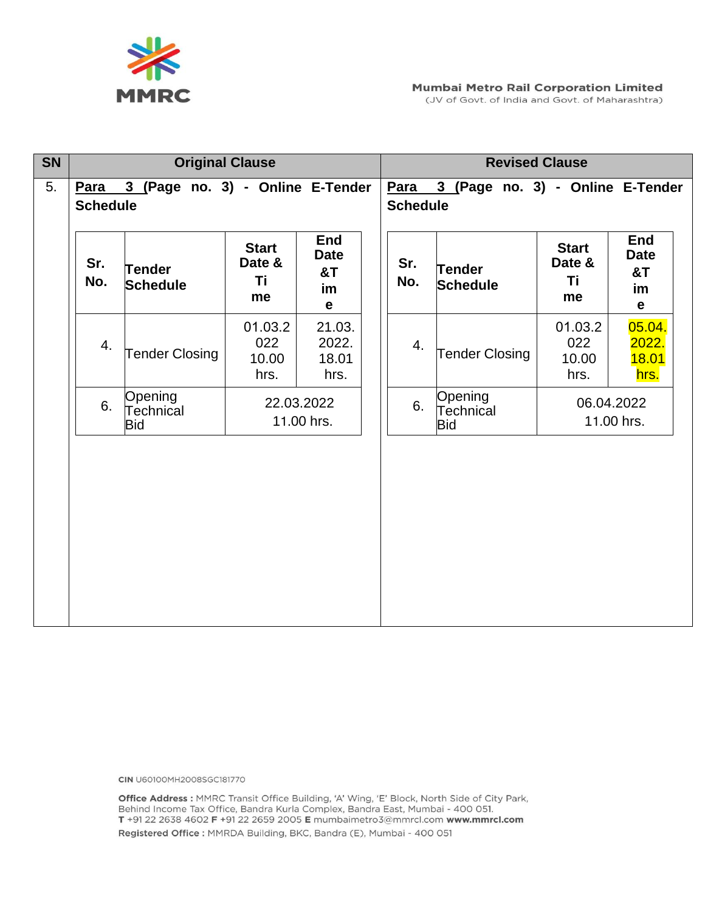

(JV of Govt. of India and Govt. of Maharashtra)

| <b>SN</b> | <b>Original Clause</b>                                   |                                    |                                    |                                                                    | <b>Revised Clause</b> |            |                                    |                                    |                                                      |
|-----------|----------------------------------------------------------|------------------------------------|------------------------------------|--------------------------------------------------------------------|-----------------------|------------|------------------------------------|------------------------------------|------------------------------------------------------|
| 5.        | Para 3 (Page no. 3) - Online E-Tender<br><b>Schedule</b> |                                    |                                    | <b>Para</b><br>3 (Page no. 3) - Online E-Tender<br><b>Schedule</b> |                       |            |                                    |                                    |                                                      |
|           | Sr.<br>No.                                               | <b>Tender</b><br><b>Schedule</b>   | <b>Start</b><br>Date &<br>Ti<br>me | <b>End</b><br><b>Date</b><br>8T<br>im<br>$\mathbf e$               |                       | Sr.<br>No. | <b>Tender</b><br><b>Schedule</b>   | <b>Start</b><br>Date &<br>Τi<br>me | <b>End</b><br><b>Date</b><br>8T<br>im<br>$\mathbf e$ |
|           | 4.                                                       | <b>Tender Closing</b>              | 01.03.2<br>022<br>10.00<br>hrs.    | 21.03.<br>2022.<br>18.01<br>hrs.                                   |                       | 4.         | <b>Tender Closing</b>              | 01.03.2<br>022<br>10.00<br>hrs.    | 05.04.<br>2022.<br>18.01<br>hrs.                     |
|           | 6.                                                       | Opening<br>Technical<br><b>Bid</b> | 22.03.2022<br>11.00 hrs.           |                                                                    |                       | 6.         | Opening<br>Technical<br><b>Bid</b> | 06.04.2022<br>11.00 hrs.           |                                                      |
|           |                                                          |                                    |                                    |                                                                    |                       |            |                                    |                                    |                                                      |

**CIN** U60100MH2008SGC181770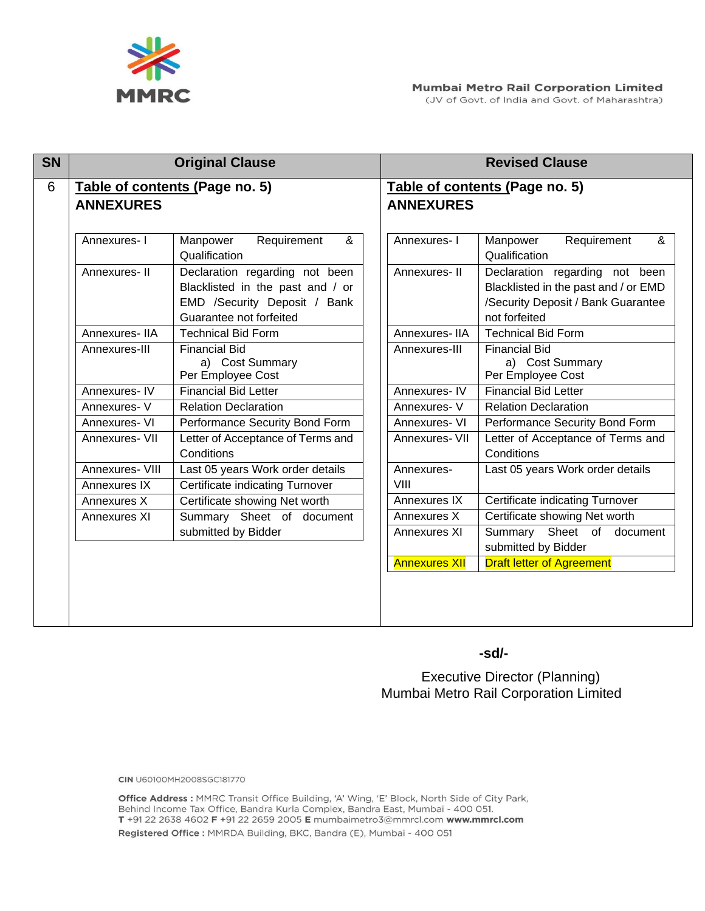

| <b>SN</b> |                                                    | <b>Original Clause</b>                                                                                                        |                                                    | <b>Revised Clause</b>                                                                                                         |  |  |
|-----------|----------------------------------------------------|-------------------------------------------------------------------------------------------------------------------------------|----------------------------------------------------|-------------------------------------------------------------------------------------------------------------------------------|--|--|
| 6         | Table of contents (Page no. 5)<br><b>ANNEXURES</b> |                                                                                                                               | Table of contents (Page no. 5)<br><b>ANNEXURES</b> |                                                                                                                               |  |  |
|           |                                                    |                                                                                                                               |                                                    |                                                                                                                               |  |  |
|           | Annexures-I                                        | Requirement<br>Manpower<br>&<br>Qualification                                                                                 | Annexures-I                                        | Requirement<br>Manpower<br>&<br>Qualification                                                                                 |  |  |
|           | Annexures-II                                       | Declaration regarding not been<br>Blacklisted in the past and / or<br>EMD /Security Deposit / Bank<br>Guarantee not forfeited | Annexures-II                                       | Declaration regarding not been<br>Blacklisted in the past and / or EMD<br>/Security Deposit / Bank Guarantee<br>not forfeited |  |  |
|           | Annexures-IIA                                      | <b>Technical Bid Form</b>                                                                                                     | Annexures-IIA                                      | <b>Technical Bid Form</b>                                                                                                     |  |  |
|           | Annexures-III                                      | <b>Financial Bid</b><br>a) Cost Summary<br>Per Employee Cost                                                                  | Annexures-III                                      | <b>Financial Bid</b><br>a) Cost Summary<br>Per Employee Cost                                                                  |  |  |
|           | Annexures-IV                                       | <b>Financial Bid Letter</b>                                                                                                   | Annexures-IV                                       | <b>Financial Bid Letter</b>                                                                                                   |  |  |
|           | Annexures- V                                       | <b>Relation Declaration</b>                                                                                                   | Annexures-V                                        | <b>Relation Declaration</b>                                                                                                   |  |  |
|           | Annexures- VI                                      | Performance Security Bond Form                                                                                                | Annexures- VI                                      | Performance Security Bond Form                                                                                                |  |  |
|           | Annexures- VII                                     | Letter of Acceptance of Terms and<br>Conditions                                                                               | Annexures- VII                                     | Letter of Acceptance of Terms and<br>Conditions                                                                               |  |  |
|           | Annexures- VIII                                    | Last 05 years Work order details                                                                                              | Annexures-                                         | Last 05 years Work order details                                                                                              |  |  |
|           | Annexures IX                                       | Certificate indicating Turnover                                                                                               | VIII                                               |                                                                                                                               |  |  |
|           | Annexures X                                        | Certificate showing Net worth                                                                                                 | <b>Annexures IX</b>                                | Certificate indicating Turnover                                                                                               |  |  |
|           | Annexures XI                                       | Summary Sheet of document                                                                                                     | Annexures X                                        | Certificate showing Net worth                                                                                                 |  |  |
|           |                                                    | submitted by Bidder                                                                                                           | Annexures XI                                       | Summary Sheet of document<br>submitted by Bidder                                                                              |  |  |
|           |                                                    |                                                                                                                               | <b>Annexures XII</b>                               | <b>Draft letter of Agreement</b>                                                                                              |  |  |

 **-sd/-**

**Executive Director (Planning)** Mumbai Metro Rail Corporation Limited

**CIN** U60100MH2008SGC181770